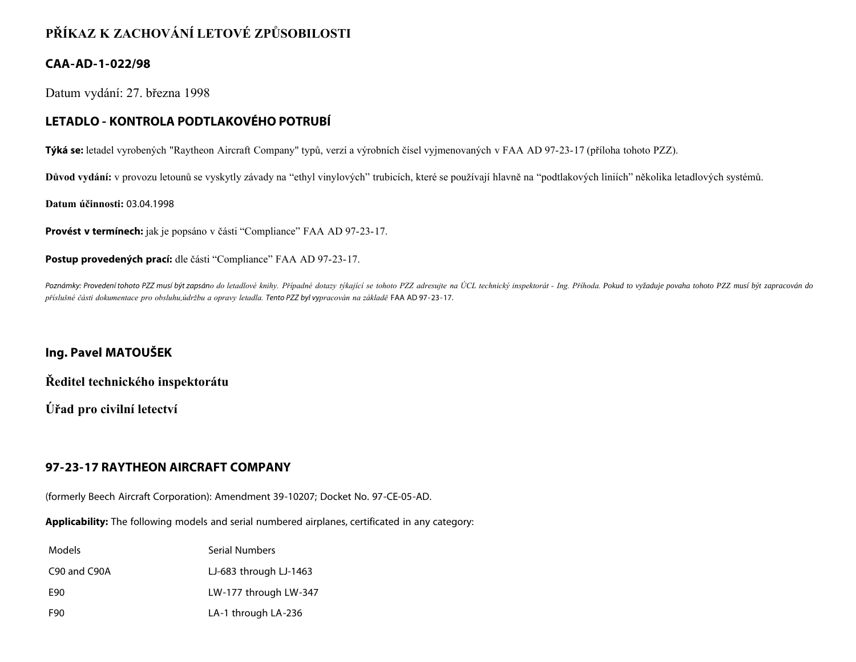# **PŘÍKAZ K ZACHOVÁNÍ LETOVÉ ZPŮSOBILOSTI**

### **CAA-AD-1-022/98**

Datum vydání: 27. března 1998

## **LETADLO - KONTROLA PODTLAKOVÉHO POTRUBÍ**

**Týká se:** letadel vyrobených "Raytheon Aircraft Company" typů, verzí a výrobních čísel vyjmenovaných v FAA AD 97-23-17 (příloha tohoto PZZ).

**Důvod vydání:** v provozu letounů se vyskytly závady na "ethyl vinylových" trubicích, které se používají hlavně na "podtlakových liniích" několika letadlových systémů.

**Datum účinnosti:** 03.04.1998

**Provést v termínech:** jak je popsáno v části "Compliance" FAA AD 97-23-17.

**Postup provedených prací:** dle části "Compliance" FAA AD 97-23-17.

Poznámky: Provedení tohoto PZZ musí být zapsáno do letadlové knihy. Případné dotazy týkající se tohoto PZZ adresujte na ÚCL technický inspektorát - Ing. Příhoda. Pokud to vyžaduje povaha tohoto PZZ musí být zapracován do *příslušné části dokumentace pro obsluhu,údržbu a opravy letadla. Tento PZZ byl vypracován na základě* FAA AD 97-23-17.

#### **Ing. Pavel MATOUŠEK**

**Ředitel technického inspektorátu**

**Úřad pro civilní letectví**

## **97-23-17 RAYTHEON AIRCRAFT COMPANY**

(formerly Beech Aircraft Corporation): Amendment 39-10207; Docket No. 97-CE-05-AD.

**Applicability:** The following models and serial numbered airplanes, certificated in any category:

| Models       | Serial Numbers         |
|--------------|------------------------|
| C90 and C90A | LJ-683 through LJ-1463 |
| E90          | LW-177 through LW-347  |
| F90          | LA-1 through LA-236    |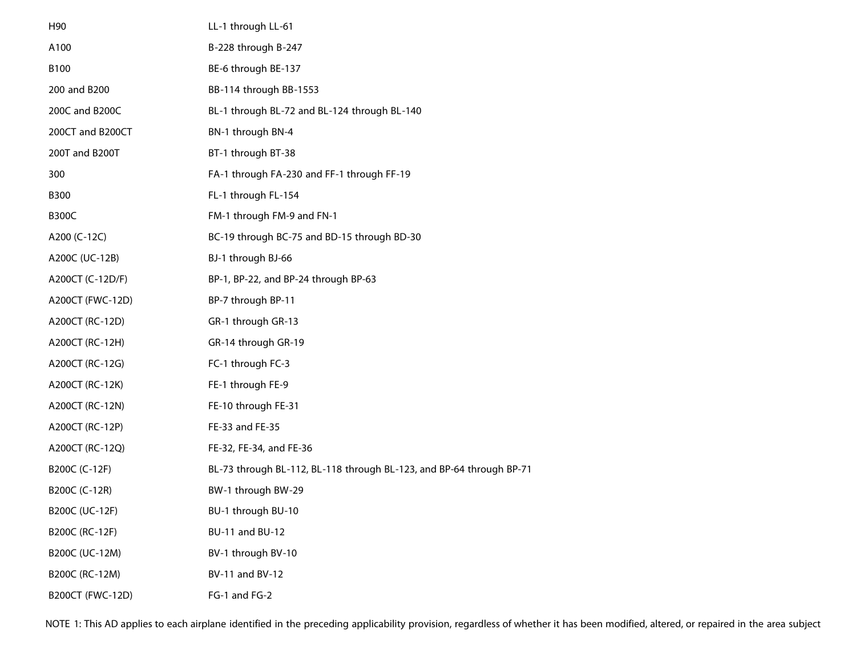| H90                     | LL-1 through LL-61                                                   |
|-------------------------|----------------------------------------------------------------------|
| A100                    | B-228 through B-247                                                  |
| B100                    | BE-6 through BE-137                                                  |
| 200 and B200            | BB-114 through BB-1553                                               |
| 200C and B200C          | BL-1 through BL-72 and BL-124 through BL-140                         |
| 200CT and B200CT        | BN-1 through BN-4                                                    |
| 200T and B200T          | BT-1 through BT-38                                                   |
| 300                     | FA-1 through FA-230 and FF-1 through FF-19                           |
| <b>B300</b>             | FL-1 through FL-154                                                  |
| <b>B300C</b>            | FM-1 through FM-9 and FN-1                                           |
| A200 (C-12C)            | BC-19 through BC-75 and BD-15 through BD-30                          |
| A200C (UC-12B)          | BJ-1 through BJ-66                                                   |
| A200CT (C-12D/F)        | BP-1, BP-22, and BP-24 through BP-63                                 |
| A200CT (FWC-12D)        | BP-7 through BP-11                                                   |
| A200CT (RC-12D)         | GR-1 through GR-13                                                   |
| A200CT (RC-12H)         | GR-14 through GR-19                                                  |
| A200CT (RC-12G)         | FC-1 through FC-3                                                    |
| A200CT (RC-12K)         | FE-1 through FE-9                                                    |
| A200CT (RC-12N)         | FE-10 through FE-31                                                  |
| A200CT (RC-12P)         | FE-33 and FE-35                                                      |
| A200CT (RC-12Q)         | FE-32, FE-34, and FE-36                                              |
| B200C (C-12F)           | BL-73 through BL-112, BL-118 through BL-123, and BP-64 through BP-71 |
| B200C (C-12R)           | BW-1 through BW-29                                                   |
| B200C (UC-12F)          | BU-1 through BU-10                                                   |
| B200C (RC-12F)          | BU-11 and BU-12                                                      |
| B200C (UC-12M)          | BV-1 through BV-10                                                   |
| B200C (RC-12M)          | BV-11 and BV-12                                                      |
| <b>B200CT (FWC-12D)</b> | FG-1 and FG-2                                                        |

NOTE 1: This AD applies to each airplane identified in the preceding applicability provision, regardless of whether it has been modified, altered, or repaired in the area subject